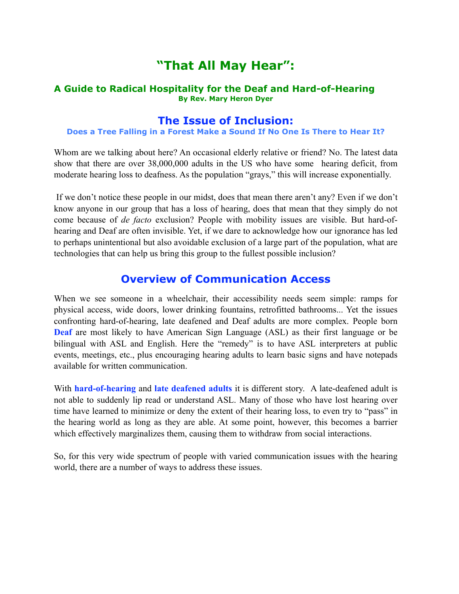# **"That All May Hear":**

#### **A Guide to Radical Hospitality for the Deaf and Hard-of-Hearing By Rev. Mary Heron Dyer**

### **The Issue of Inclusion:**

#### **Does a Tree Falling in a Forest Make a Sound If No One Is There to Hear It?**

Whom are we talking about here? An occasional elderly relative or friend? No. The latest data show that there are over 38,000,000 adults in the US who have some hearing deficit, from moderate hearing loss to deafness. As the population "grays," this will increase exponentially.

 If we don't notice these people in our midst, does that mean there aren't any? Even if we don't know anyone in our group that has a loss of hearing, does that mean that they simply do not come because of *de facto* exclusion? People with mobility issues are visible. But hard-ofhearing and Deaf are often invisible. Yet, if we dare to acknowledge how our ignorance has led to perhaps unintentional but also avoidable exclusion of a large part of the population, what are technologies that can help us bring this group to the fullest possible inclusion?

## **Overview of Communication Access**

When we see someone in a wheelchair, their accessibility needs seem simple: ramps for physical access, wide doors, lower drinking fountains, retrofitted bathrooms... Yet the issues confronting hard-of-hearing, late deafened and Deaf adults are more complex. People born **Deaf** are most likely to have American Sign Language (ASL) as their first language or be bilingual with ASL and English. Here the "remedy" is to have ASL interpreters at public events, meetings, etc., plus encouraging hearing adults to learn basic signs and have notepads available for written communication.

With **hard-of-hearing** and **late deafened adults** it is different story. A late-deafened adult is not able to suddenly lip read or understand ASL. Many of those who have lost hearing over time have learned to minimize or deny the extent of their hearing loss, to even try to "pass" in the hearing world as long as they are able. At some point, however, this becomes a barrier which effectively marginalizes them, causing them to withdraw from social interactions.

So, for this very wide spectrum of people with varied communication issues with the hearing world, there are a number of ways to address these issues.